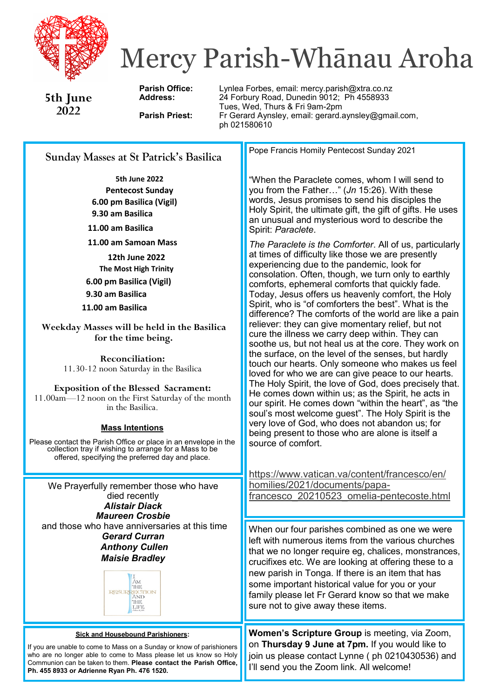

# Mercy Parish-Whānau Aroha

**5th June 2022**

Parish Office: Lynlea Forbes, email: mercy.parish@xtra.co.nz **Address:** 24 Forbury Road, Dunedin 9012; Ph 4558933 Tues, Wed, Thurs & Fri 9am-2pm<br>Fr Gerard Aynsley, email: gerard. **Parish Priest:** Fr Gerard Aynsley, email: gerard.aynsley@gmail.com, ph 021580610

# **Sunday Masses at St Patrick's Basilica**

**5th June 2022 Pentecost Sunday 6.00 pm Basilica (Vigil) 9.30 am Basilica**

**11.00 am Basilica**

**11.00 am Samoan Mass**

**12th June 2022 The Most High Trinity 6.00 pm Basilica (Vigil) 9.30 am Basilica 11.00 am Basilica**

**Weekday Masses will be held in the Basilica for the time being.**

> **Reconciliation:**  11.30-12 noon Saturday in the Basilica

**Exposition of the Blessed Sacrament:**  11.00am—12 noon on the First Saturday of the month in the Basilica.

# **Mass Intentions**

Please contact the Parish Office or place in an envelope in the collection tray if wishing to arrange for a Mass to be offered, specifying the preferred day and place*.*

We Prayerfully remember those who have died recently *Alistair Diack Maureen Crosbie* and those who have anniversaries at this time *Gerard Curran Anthony Cullen Maisie Bradley* 

> THE RESURRECTION THIR LIFE

#### **Sick and Housebound Parishioners:**

If you are unable to come to Mass on a Sunday or know of parishioners who are no longer able to come to Mass please let us know so Holy Communion can be taken to them. **Please contact the Parish Office, Ph. 455 8933 or Adrienne Ryan Ph. 476 1520.**

Pope Francis Homily Pentecost Sunday 2021

"When the Paraclete comes, whom I will send to you from the Father…" (*Jn* 15:26). With these words, Jesus promises to send his disciples the Holy Spirit, the ultimate gift, the gift of gifts. He uses an unusual and mysterious word to describe the Spirit: *Paraclete*.

*The Paraclete is the Comforter*. All of us, particularly at times of difficulty like those we are presently experiencing due to the pandemic, look for consolation. Often, though, we turn only to earthly comforts, ephemeral comforts that quickly fade. Today, Jesus offers us heavenly comfort, the Holy Spirit, who is "of comforters the best". What is the difference? The comforts of the world are like a pain reliever: they can give momentary relief, but not cure the illness we carry deep within. They can soothe us, but not heal us at the core. They work on the surface, on the level of the senses, but hardly touch our hearts. Only someone who makes us feel loved for who we are can give peace to our hearts. The Holy Spirit, the love of God, does precisely that. He comes down within us; as the Spirit, he acts in our spirit. He comes down "within the heart", as "the soul's most welcome guest". The Holy Spirit is the very love of God, who does not abandon us; for being present to those who are alone is itself a source of comfort.

[https://www.vatican.va/content/francesco/en/](https://www.vatican.va/content/francesco/en/homilies/2021/documents/papa-francesco_20210523_omelia-pentecoste.html) [homilies/2021/documents/papa](https://www.vatican.va/content/francesco/en/homilies/2021/documents/papa-francesco_20210523_omelia-pentecoste.html)[francesco\\_20210523\\_omelia](https://www.vatican.va/content/francesco/en/homilies/2021/documents/papa-francesco_20210523_omelia-pentecoste.html)-pentecoste.html

When our four parishes combined as one we were left with numerous items from the various churches that we no longer require eg, chalices, monstrances, crucifixes etc. We are looking at offering these to a new parish in Tonga. If there is an item that has some important historical value for you or your family please let Fr Gerard know so that we make sure not to give away these items.

**Women's Scripture Group** is meeting, via Zoom, on **Thursday 9 June at 7pm.** If you would like to join us please contact Lynne ( ph 0210430536) and I'll send you the Zoom link. All welcome!